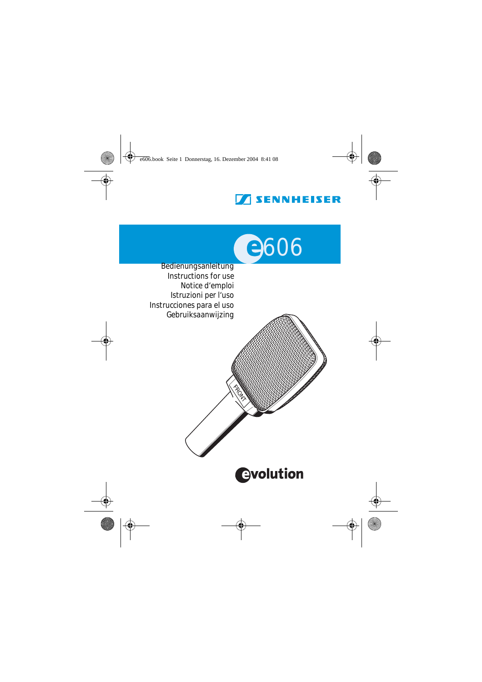# **SENNHEISER**



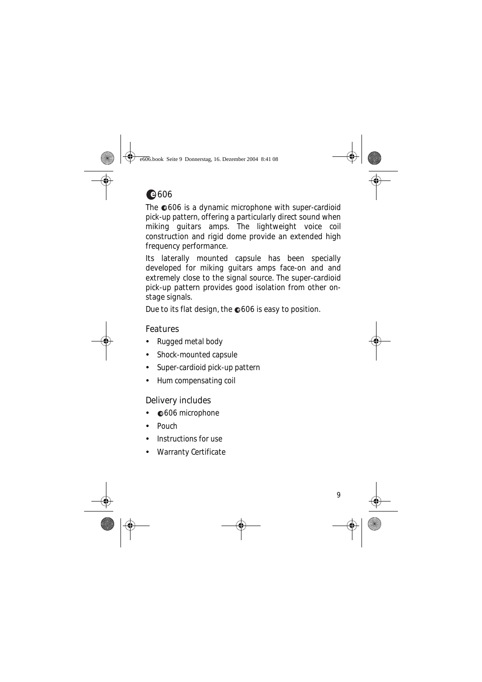

The  $@606$  is a dynamic microphone with super-cardioid pick-up pattern, offering a particularly direct sound when miking guitars amps. The lightweight voice coil construction and rigid dome provide an extended high frequency performance.

Its laterally mounted capsule has been specially developed for miking guitars amps face-on and and extremely close to the signal source. The super-cardioid pick-up pattern provides good isolation from other onstage signals.

Due to its flat design, the  $\bullet$ 606 is easy to position.

### Features

- y Rugged metal body
- Shock-mounted capsule
- Super-cardioid pick-up pattern
- Hum compensating coil

### Delivery includes

- $@606$  microphone
- $\bullet$  Pouch
- $\bullet$  Instructions for use
- Warranty Certificate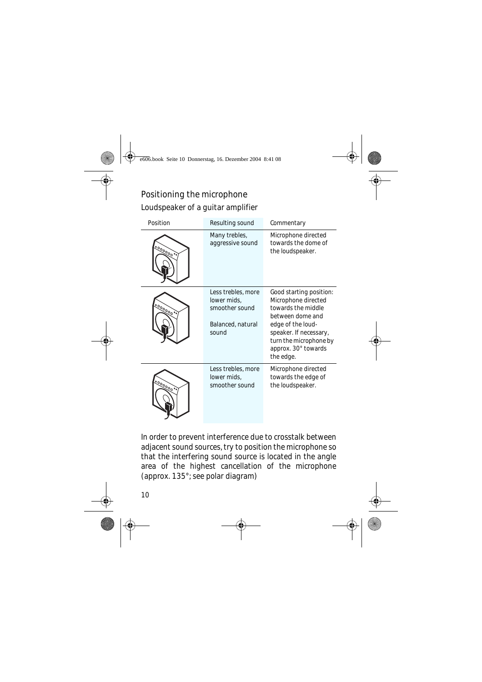## Positioning the microphone Loudspeaker of a guitar amplifier

| Position  | Resulting sound                                                                   | Commentary                                                                                                                                                                                            |  |  |  |
|-----------|-----------------------------------------------------------------------------------|-------------------------------------------------------------------------------------------------------------------------------------------------------------------------------------------------------|--|--|--|
| 000000000 | Many trebles,<br>aggressive sound                                                 | Microphone directed<br>towards the dome of<br>the loudspeaker.                                                                                                                                        |  |  |  |
| 000000000 | Less trebles, more<br>lower mids,<br>smoother sound<br>Balanced, natural<br>sound | Good starting position:<br>Microphone directed<br>towards the middle<br>between dome and<br>edge of the loud-<br>speaker. If necessary,<br>turn the microphone by<br>approx. 30° towards<br>the edge. |  |  |  |
| 1000000   | Less trebles, more<br>lower mids,<br>smoother sound                               | Microphone directed<br>towards the edge of<br>the loudspeaker.                                                                                                                                        |  |  |  |

In order to prevent interference due to crosstalk between adjacent sound sources, try to position the microphone so that the interfering sound source is located in the angle area of the highest cancellation of the microphone (approx. 135°; see polar diagram)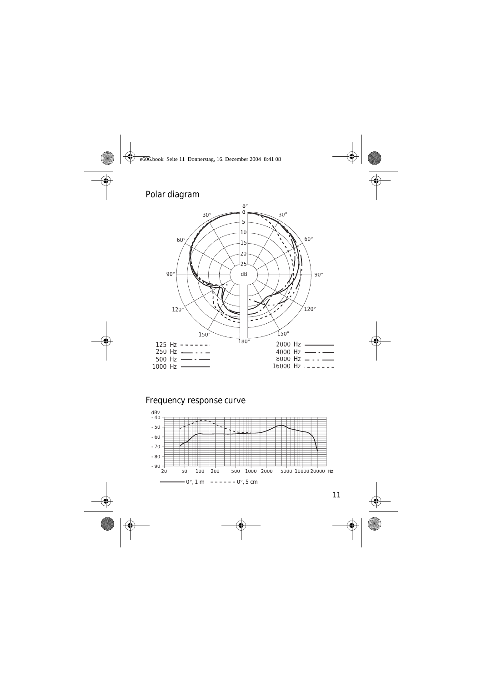### Polar diagram



### Frequency response curve

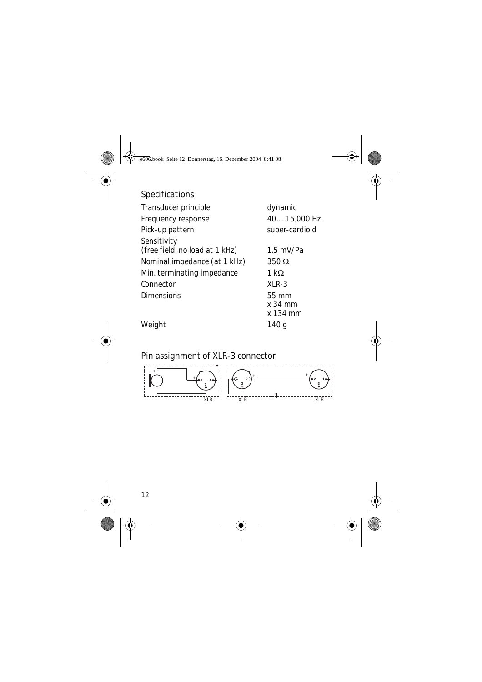### Specifications

| Transducer principle                          | dynamic        |
|-----------------------------------------------|----------------|
| Frequency response                            | 4015,000 Hz    |
| Pick-up pattern                               | super-cardioid |
| Sensitivity<br>(free field, no load at 1 kHz) | $1.5$ mV/Pa    |
| Nominal impedance (at 1 kHz)                  | $350\,\Omega$  |
| Min. terminating impedance                    | 1 k $\Omega$   |
| Connector                                     | $XLR-3$        |
| <b>Dimensions</b>                             | 55 mm          |
|                                               | $x$ 34 mm      |
|                                               | x 134 mm       |

Weight 140 g

Pin assignment of XLR-3 connector

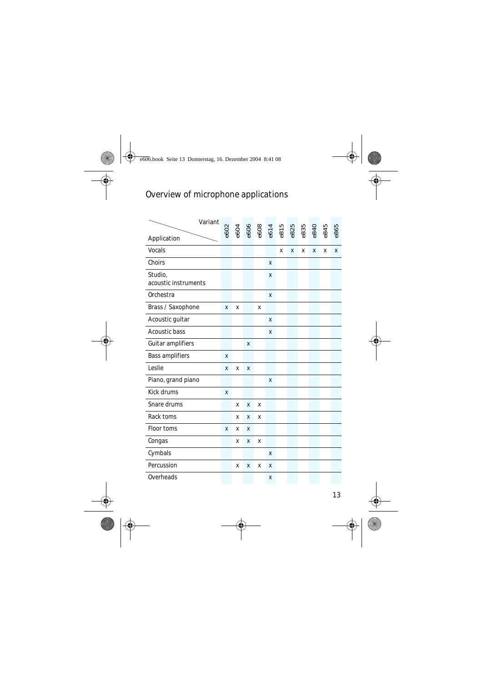# Overview of microphone applications

| Variant                         |      |      |                      |   |   |      |      |      |      |      |      |
|---------------------------------|------|------|----------------------|---|---|------|------|------|------|------|------|
| Application                     | 6602 | e604 | e606<br>e608<br>e614 |   |   | e815 | e825 | e835 | e840 | 6845 | e865 |
| Vocals                          |      |      |                      |   |   | X    | X    | X    | X    | X    | x    |
| Choirs                          |      |      |                      |   | X |      |      |      |      |      |      |
| Studio,<br>acoustic instruments |      |      |                      |   | X |      |      |      |      |      |      |
| Orchestra                       |      |      |                      |   | X |      |      |      |      |      |      |
| Brass / Saxophone               | X    | х    |                      | X |   |      |      |      |      |      |      |
| Acoustic guitar                 |      |      |                      |   | X |      |      |      |      |      |      |
| Acoustic bass                   |      |      |                      |   | x |      |      |      |      |      |      |
| Guitar amplifiers               |      |      | X                    |   |   |      |      |      |      |      |      |
| Bass amplifiers                 | X    |      |                      |   |   |      |      |      |      |      |      |
| Leslie                          | x    | X    | x                    |   |   |      |      |      |      |      |      |
| Piano, grand piano              |      |      |                      |   | X |      |      |      |      |      |      |
| Kick drums                      | X    |      |                      |   |   |      |      |      |      |      |      |
| Snare drums                     |      | X    | X                    | X |   |      |      |      |      |      |      |
| Rack toms                       |      | X    | x                    | X |   |      |      |      |      |      |      |
| Floor toms                      | x    | X    | X                    |   |   |      |      |      |      |      |      |
| Congas                          |      | x    | X                    | X |   |      |      |      |      |      |      |
| Cymbals                         |      |      |                      |   | X |      |      |      |      |      |      |
| Percussion                      |      | X    | X                    | x | X |      |      |      |      |      |      |
| Overheads                       |      |      |                      |   | x |      |      |      |      |      |      |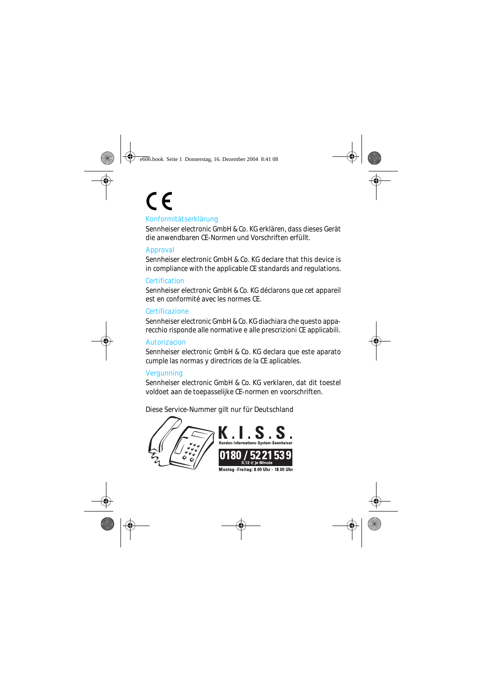# $\epsilon$ Konformitätserklärung

Sennheiser electronic GmbH & Co. KG erklären, dass dieses Gerät die anwendbaren CE-Normen und Vorschriften erfüllt.

#### Approval

Sennheiser electronic GmbH & Co. KG declare that this device is in compliance with the applicable CE standards and regulations.

#### **Certification**

Sennheiser electronic GmbH & Co. KG déclarons que cet appareil est en conformité avec les normes CE.

#### Certificazione

Sennheiser electronic GmbH & Co. KG diachiara che questo apparecchio risponde alle normative e alle prescrizioni CE applicabili.

#### **Autorizacion**

Sennheiser electronic GmbH & Co. KG declara que este aparato cumple las normas y directrices de la CE aplicables.

#### **Vergunning**

Sennheiser electronic GmbH & Co. KG verklaren, dat dit toestel voldoet aan de toepasselijke CE-normen en voorschriften.

Diese Service-Nummer gilt nur für Deutschland





Montag - Freitag: 8.00 Uhr - 18.00 Uhr